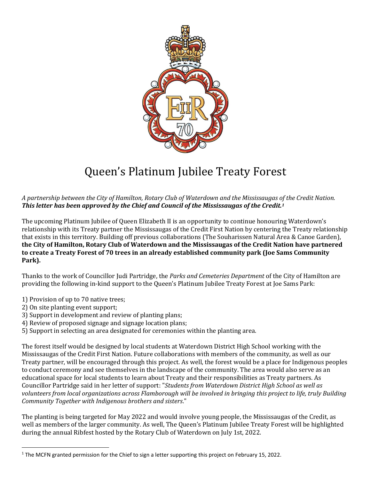

## Queen's Platinum Jubilee Treaty Forest

*A partnership between the City of Hamilton, Rotary Club of Waterdown and the Mississaugas of the Credit Nation. This letter has been approved by the Chief and Council of the Mississaugas of the Credit.<sup>1</sup>*

The upcoming Platinum Jubilee of Queen Elizabeth II is an opportunity to continue honouring Waterdown's relationship with its Treaty partner the Mississaugas of the Credit First Nation by centering the Treaty relationship that exists in this territory. Building off previous collaborations (The Souharissen Natural Area & Canoe Garden), **the City of Hamilton, Rotary Club of Waterdown and the Mississaugas of the Credit Nation have partnered to create a Treaty Forest of 70 trees in an already established community park (Joe Sams Community Park).** 

Thanks to the work of Councillor Judi Partridge, the *Parks and Cemeteries Department* of the City of Hamilton are providing the following in-kind support to the Queen's Platinum Jubilee Treaty Forest at Joe Sams Park:

- 1) Provision of up to 70 native trees;
- 2) On site planting event support;

 $\overline{a}$ 

- 3) Support in development and review of planting plans;
- 4) Review of proposed signage and signage location plans;
- 5) Support in selecting an area designated for ceremonies within the planting area.

The forest itself would be designed by local students at Waterdown District High School working with the Mississaugas of the Credit First Nation. Future collaborations with members of the community, as well as our Treaty partner, will be encouraged through this project. As well, the forest would be a place for Indigenous peoples to conduct ceremony and see themselves in the landscape of the community. The area would also serve as an educational space for local students to learn about Treaty and their responsibilities as Treaty partners. As Councillor Partridge said in her letter of support: "*Students from Waterdown District High School as well as volunteers from local organizations across Flamborough will be involved in bringing this project to life, truly Building Community Together with Indigenous brothers and sisters*."

The planting is being targeted for May 2022 and would involve young people, the Mississaugas of the Credit, as well as members of the larger community. As well, The Queen's Platinum Jubilee Treaty Forest will be highlighted during the annual Ribfest hosted by the Rotary Club of Waterdown on July 1st, 2022.

<sup>1</sup> The MCFN granted permission for the Chief to sign a letter supporting this project on February 15, 2022.